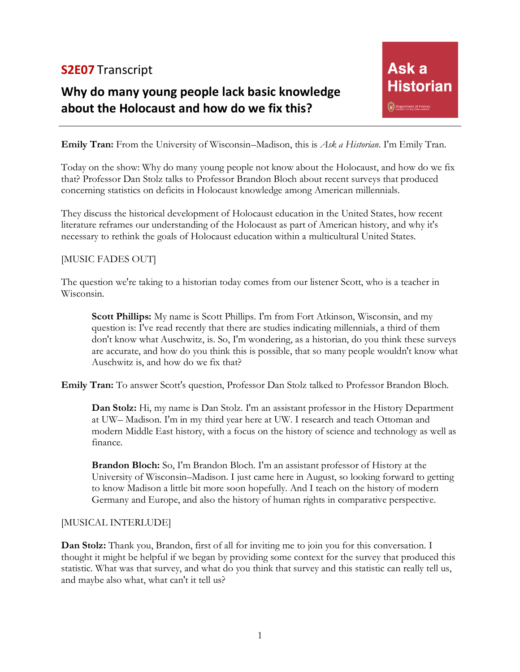## **S2E07** Transcript

# **Why do many young people lack basic knowledge about the Holocaust and how do we fix this?**

**Emily Tran:** From the University of Wisconsin–Madison, this is *Ask a Historian*. I'm Emily Tran.

Today on the show: Why do many young people not know about the Holocaust, and how do we fix that? Professor Dan Stolz talks to Professor Brandon Bloch about recent surveys that produced concerning statistics on deficits in Holocaust knowledge among American millennials.

They discuss the historical development of Holocaust education in the United States, how recent literature reframes our understanding of the Holocaust as part of American history, and why it's necessary to rethink the goals of Holocaust education within a multicultural United States.

#### [MUSIC FADES OUT]

The question we're taking to a historian today comes from our listener Scott, who is a teacher in Wisconsin.

**Scott Phillips:** My name is Scott Phillips. I'm from Fort Atkinson, Wisconsin, and my question is: I've read recently that there are studies indicating millennials, a third of them don't know what Auschwitz, is. So, I'm wondering, as a historian, do you think these surveys are accurate, and how do you think this is possible, that so many people wouldn't know what Auschwitz is, and how do we fix that?

**Emily Tran:** To answer Scott's question, Professor Dan Stolz talked to Professor Brandon Bloch.

**Dan Stolz:** Hi, my name is Dan Stolz. I'm an assistant professor in the History Department at UW– Madison. I'm in my third year here at UW. I research and teach Ottoman and modern Middle East history, with a focus on the history of science and technology as well as finance.

**Brandon Bloch:** So, I'm Brandon Bloch. I'm an assistant professor of History at the University of Wisconsin–Madison. I just came here in August, so looking forward to getting to know Madison a little bit more soon hopefully. And I teach on the history of modern Germany and Europe, and also the history of human rights in comparative perspective.

#### [MUSICAL INTERLUDE]

**Dan Stolz:** Thank you, Brandon, first of all for inviting me to join you for this conversation. I thought it might be helpful if we began by providing some context for the survey that produced this statistic. What was that survey, and what do you think that survey and this statistic can really tell us, and maybe also what, what can't it tell us?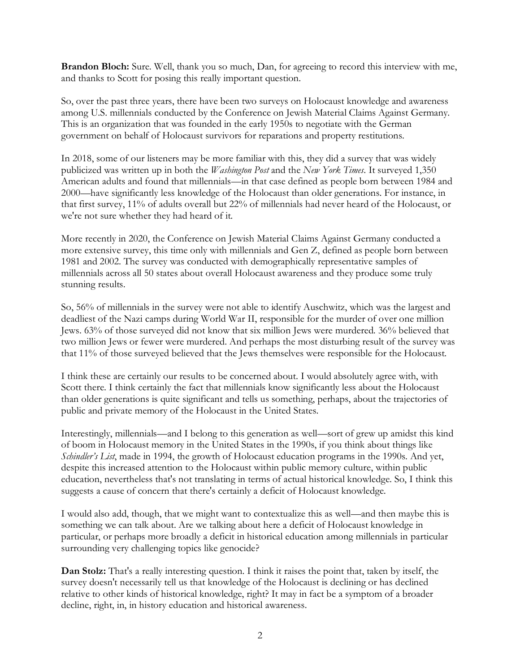**Brandon Bloch:** Sure. Well, thank you so much, Dan, for agreeing to record this interview with me, and thanks to Scott for posing this really important question.

So, over the past three years, there have been two surveys on Holocaust knowledge and awareness among U.S. millennials conducted by the Conference on Jewish Material Claims Against Germany. This is an organization that was founded in the early 1950s to negotiate with the German government on behalf of Holocaust survivors for reparations and property restitutions.

In 2018, some of our listeners may be more familiar with this, they did a survey that was widely publicized was written up in both the *Washington Post* and the *New York Times*. It surveyed 1,350 American adults and found that millennials—in that case defined as people born between 1984 and 2000—have significantly less knowledge of the Holocaust than older generations. For instance, in that first survey, 11% of adults overall but 22% of millennials had never heard of the Holocaust, or we're not sure whether they had heard of it.

More recently in 2020, the Conference on Jewish Material Claims Against Germany conducted a more extensive survey, this time only with millennials and Gen Z, defined as people born between 1981 and 2002. The survey was conducted with demographically representative samples of millennials across all 50 states about overall Holocaust awareness and they produce some truly stunning results.

So, 56% of millennials in the survey were not able to identify Auschwitz, which was the largest and deadliest of the Nazi camps during World War II, responsible for the murder of over one million Jews. 63% of those surveyed did not know that six million Jews were murdered. 36% believed that two million Jews or fewer were murdered. And perhaps the most disturbing result of the survey was that 11% of those surveyed believed that the Jews themselves were responsible for the Holocaust.

I think these are certainly our results to be concerned about. I would absolutely agree with, with Scott there. I think certainly the fact that millennials know significantly less about the Holocaust than older generations is quite significant and tells us something, perhaps, about the trajectories of public and private memory of the Holocaust in the United States.

Interestingly, millennials—and I belong to this generation as well—sort of grew up amidst this kind of boom in Holocaust memory in the United States in the 1990s, if you think about things like *Schindler's List*, made in 1994, the growth of Holocaust education programs in the 1990s. And yet, despite this increased attention to the Holocaust within public memory culture, within public education, nevertheless that's not translating in terms of actual historical knowledge. So, I think this suggests a cause of concern that there's certainly a deficit of Holocaust knowledge.

I would also add, though, that we might want to contextualize this as well—and then maybe this is something we can talk about. Are we talking about here a deficit of Holocaust knowledge in particular, or perhaps more broadly a deficit in historical education among millennials in particular surrounding very challenging topics like genocide?

**Dan Stolz:** That's a really interesting question. I think it raises the point that, taken by itself, the survey doesn't necessarily tell us that knowledge of the Holocaust is declining or has declined relative to other kinds of historical knowledge, right? It may in fact be a symptom of a broader decline, right, in, in history education and historical awareness.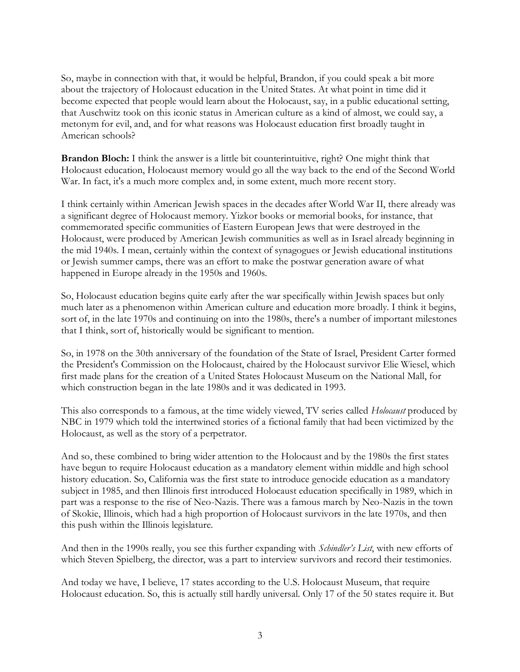So, maybe in connection with that, it would be helpful, Brandon, if you could speak a bit more about the trajectory of Holocaust education in the United States. At what point in time did it become expected that people would learn about the Holocaust, say, in a public educational setting, that Auschwitz took on this iconic status in American culture as a kind of almost, we could say, a metonym for evil, and, and for what reasons was Holocaust education first broadly taught in American schools?

**Brandon Bloch:** I think the answer is a little bit counterintuitive, right? One might think that Holocaust education, Holocaust memory would go all the way back to the end of the Second World War. In fact, it's a much more complex and, in some extent, much more recent story.

I think certainly within American Jewish spaces in the decades after World War II, there already was a significant degree of Holocaust memory. Yizkor books or memorial books, for instance, that commemorated specific communities of Eastern European Jews that were destroyed in the Holocaust, were produced by American Jewish communities as well as in Israel already beginning in the mid 1940s. I mean, certainly within the context of synagogues or Jewish educational institutions or Jewish summer camps, there was an effort to make the postwar generation aware of what happened in Europe already in the 1950s and 1960s.

So, Holocaust education begins quite early after the war specifically within Jewish spaces but only much later as a phenomenon within American culture and education more broadly. I think it begins, sort of, in the late 1970s and continuing on into the 1980s, there's a number of important milestones that I think, sort of, historically would be significant to mention.

So, in 1978 on the 30th anniversary of the foundation of the State of Israel, President Carter formed the President's Commission on the Holocaust, chaired by the Holocaust survivor Elie Wiesel, which first made plans for the creation of a United States Holocaust Museum on the National Mall, for which construction began in the late 1980s and it was dedicated in 1993.

This also corresponds to a famous, at the time widely viewed, TV series called *Holocaust* produced by NBC in 1979 which told the intertwined stories of a fictional family that had been victimized by the Holocaust, as well as the story of a perpetrator.

And so, these combined to bring wider attention to the Holocaust and by the 1980s the first states have begun to require Holocaust education as a mandatory element within middle and high school history education. So, California was the first state to introduce genocide education as a mandatory subject in 1985, and then Illinois first introduced Holocaust education specifically in 1989, which in part was a response to the rise of Neo-Nazis. There was a famous march by Neo-Nazis in the town of Skokie, Illinois, which had a high proportion of Holocaust survivors in the late 1970s, and then this push within the Illinois legislature.

And then in the 1990s really, you see this further expanding with *Schindler's List*, with new efforts of which Steven Spielberg, the director, was a part to interview survivors and record their testimonies.

And today we have, I believe, 17 states according to the U.S. Holocaust Museum, that require Holocaust education. So, this is actually still hardly universal. Only 17 of the 50 states require it. But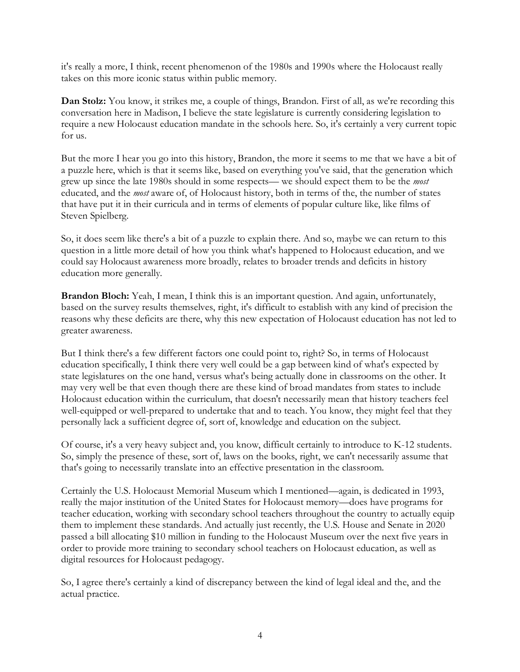it's really a more, I think, recent phenomenon of the 1980s and 1990s where the Holocaust really takes on this more iconic status within public memory.

**Dan Stolz:** You know, it strikes me, a couple of things, Brandon. First of all, as we're recording this conversation here in Madison, I believe the state legislature is currently considering legislation to require a new Holocaust education mandate in the schools here. So, it's certainly a very current topic for us.

But the more I hear you go into this history, Brandon, the more it seems to me that we have a bit of a puzzle here, which is that it seems like, based on everything you've said, that the generation which grew up since the late 1980s should in some respects— we should expect them to be the *most* educated, and the *most* aware of, of Holocaust history, both in terms of the, the number of states that have put it in their curricula and in terms of elements of popular culture like, like films of Steven Spielberg.

So, it does seem like there's a bit of a puzzle to explain there. And so, maybe we can return to this question in a little more detail of how you think what's happened to Holocaust education, and we could say Holocaust awareness more broadly, relates to broader trends and deficits in history education more generally.

**Brandon Bloch:** Yeah, I mean, I think this is an important question. And again, unfortunately, based on the survey results themselves, right, it's difficult to establish with any kind of precision the reasons why these deficits are there, why this new expectation of Holocaust education has not led to greater awareness.

But I think there's a few different factors one could point to, right? So, in terms of Holocaust education specifically, I think there very well could be a gap between kind of what's expected by state legislatures on the one hand, versus what's being actually done in classrooms on the other. It may very well be that even though there are these kind of broad mandates from states to include Holocaust education within the curriculum, that doesn't necessarily mean that history teachers feel well-equipped or well-prepared to undertake that and to teach. You know, they might feel that they personally lack a sufficient degree of, sort of, knowledge and education on the subject.

Of course, it's a very heavy subject and, you know, difficult certainly to introduce to K-12 students. So, simply the presence of these, sort of, laws on the books, right, we can't necessarily assume that that's going to necessarily translate into an effective presentation in the classroom.

Certainly the U.S. Holocaust Memorial Museum which I mentioned—again, is dedicated in 1993, really the major institution of the United States for Holocaust memory—does have programs for teacher education, working with secondary school teachers throughout the country to actually equip them to implement these standards. And actually just recently, the U.S. House and Senate in 2020 passed a bill allocating \$10 million in funding to the Holocaust Museum over the next five years in order to provide more training to secondary school teachers on Holocaust education, as well as digital resources for Holocaust pedagogy.

So, I agree there's certainly a kind of discrepancy between the kind of legal ideal and the, and the actual practice.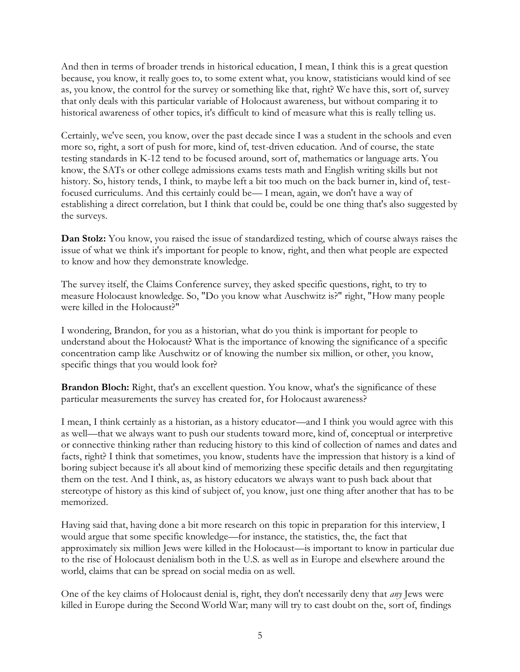And then in terms of broader trends in historical education, I mean, I think this is a great question because, you know, it really goes to, to some extent what, you know, statisticians would kind of see as, you know, the control for the survey or something like that, right? We have this, sort of, survey that only deals with this particular variable of Holocaust awareness, but without comparing it to historical awareness of other topics, it's difficult to kind of measure what this is really telling us.

Certainly, we've seen, you know, over the past decade since I was a student in the schools and even more so, right, a sort of push for more, kind of, test-driven education. And of course, the state testing standards in K-12 tend to be focused around, sort of, mathematics or language arts. You know, the SATs or other college admissions exams tests math and English writing skills but not history. So, history tends, I think, to maybe left a bit too much on the back burner in, kind of, testfocused curriculums. And this certainly could be— I mean, again, we don't have a way of establishing a direct correlation, but I think that could be, could be one thing that's also suggested by the surveys.

**Dan Stolz:** You know, you raised the issue of standardized testing, which of course always raises the issue of what we think it's important for people to know, right, and then what people are expected to know and how they demonstrate knowledge.

The survey itself, the Claims Conference survey, they asked specific questions, right, to try to measure Holocaust knowledge. So, "Do you know what Auschwitz is?" right, "How many people were killed in the Holocaust?"

I wondering, Brandon, for you as a historian, what do you think is important for people to understand about the Holocaust? What is the importance of knowing the significance of a specific concentration camp like Auschwitz or of knowing the number six million, or other, you know, specific things that you would look for?

**Brandon Bloch:** Right, that's an excellent question. You know, what's the significance of these particular measurements the survey has created for, for Holocaust awareness?

I mean, I think certainly as a historian, as a history educator—and I think you would agree with this as well—that we always want to push our students toward more, kind of, conceptual or interpretive or connective thinking rather than reducing history to this kind of collection of names and dates and facts, right? I think that sometimes, you know, students have the impression that history is a kind of boring subject because it's all about kind of memorizing these specific details and then regurgitating them on the test. And I think, as, as history educators we always want to push back about that stereotype of history as this kind of subject of, you know, just one thing after another that has to be memorized.

Having said that, having done a bit more research on this topic in preparation for this interview, I would argue that some specific knowledge—for instance, the statistics, the, the fact that approximately six million Jews were killed in the Holocaust—is important to know in particular due to the rise of Holocaust denialism both in the U.S. as well as in Europe and elsewhere around the world, claims that can be spread on social media on as well.

One of the key claims of Holocaust denial is, right, they don't necessarily deny that *any* Jews were killed in Europe during the Second World War; many will try to cast doubt on the, sort of, findings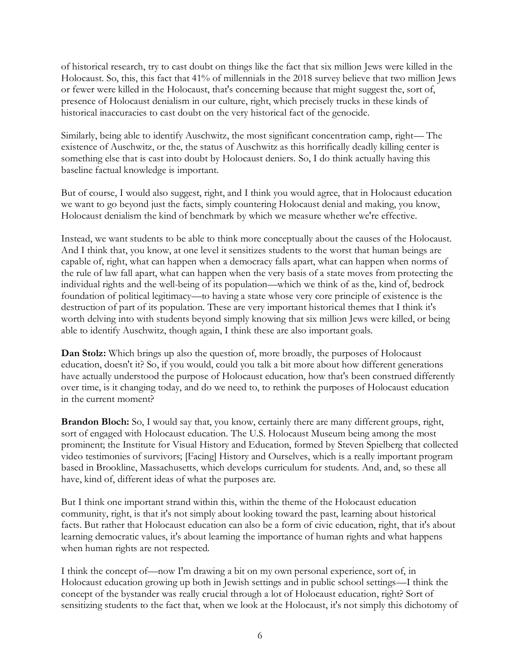of historical research, try to cast doubt on things like the fact that six million Jews were killed in the Holocaust. So, this, this fact that 41% of millennials in the 2018 survey believe that two million Jews or fewer were killed in the Holocaust, that's concerning because that might suggest the, sort of, presence of Holocaust denialism in our culture, right, which precisely trucks in these kinds of historical inaccuracies to cast doubt on the very historical fact of the genocide.

Similarly, being able to identify Auschwitz, the most significant concentration camp, right— The existence of Auschwitz, or the, the status of Auschwitz as this horrifically deadly killing center is something else that is cast into doubt by Holocaust deniers. So, I do think actually having this baseline factual knowledge is important.

But of course, I would also suggest, right, and I think you would agree, that in Holocaust education we want to go beyond just the facts, simply countering Holocaust denial and making, you know, Holocaust denialism the kind of benchmark by which we measure whether we're effective.

Instead, we want students to be able to think more conceptually about the causes of the Holocaust. And I think that, you know, at one level it sensitizes students to the worst that human beings are capable of, right, what can happen when a democracy falls apart, what can happen when norms of the rule of law fall apart, what can happen when the very basis of a state moves from protecting the individual rights and the well-being of its population—which we think of as the, kind of, bedrock foundation of political legitimacy—to having a state whose very core principle of existence is the destruction of part of its population. These are very important historical themes that I think it's worth delving into with students beyond simply knowing that six million Jews were killed, or being able to identify Auschwitz, though again, I think these are also important goals.

**Dan Stolz:** Which brings up also the question of, more broadly, the purposes of Holocaust education, doesn't it? So, if you would, could you talk a bit more about how different generations have actually understood the purpose of Holocaust education, how that's been construed differently over time, is it changing today, and do we need to, to rethink the purposes of Holocaust education in the current moment?

**Brandon Bloch:** So, I would say that, you know, certainly there are many different groups, right, sort of engaged with Holocaust education. The U.S. Holocaust Museum being among the most prominent; the Institute for Visual History and Education, formed by Steven Spielberg that collected video testimonies of survivors; [Facing] History and Ourselves, which is a really important program based in Brookline, Massachusetts, which develops curriculum for students. And, and, so these all have, kind of, different ideas of what the purposes are.

But I think one important strand within this, within the theme of the Holocaust education community, right, is that it's not simply about looking toward the past, learning about historical facts. But rather that Holocaust education can also be a form of civic education, right, that it's about learning democratic values, it's about learning the importance of human rights and what happens when human rights are not respected.

I think the concept of—now I'm drawing a bit on my own personal experience, sort of, in Holocaust education growing up both in Jewish settings and in public school settings—I think the concept of the bystander was really crucial through a lot of Holocaust education, right? Sort of sensitizing students to the fact that, when we look at the Holocaust, it's not simply this dichotomy of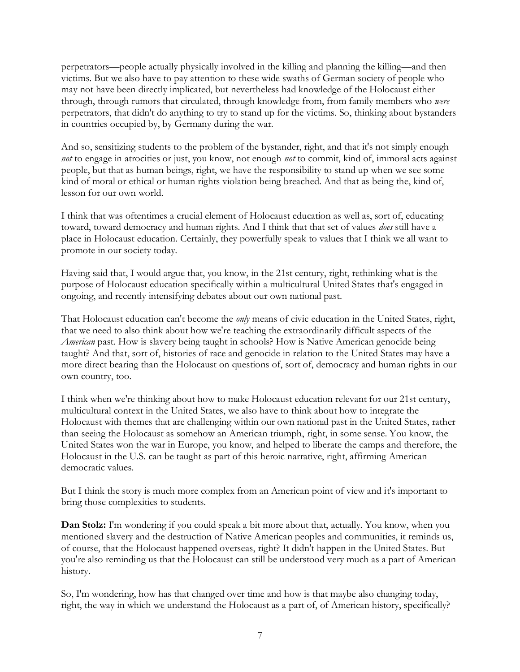perpetrators—people actually physically involved in the killing and planning the killing—and then victims. But we also have to pay attention to these wide swaths of German society of people who may not have been directly implicated, but nevertheless had knowledge of the Holocaust either through, through rumors that circulated, through knowledge from, from family members who *were* perpetrators, that didn't do anything to try to stand up for the victims. So, thinking about bystanders in countries occupied by, by Germany during the war.

And so, sensitizing students to the problem of the bystander, right, and that it's not simply enough *not* to engage in atrocities or just, you know, not enough *not* to commit, kind of, immoral acts against people, but that as human beings, right, we have the responsibility to stand up when we see some kind of moral or ethical or human rights violation being breached. And that as being the, kind of, lesson for our own world.

I think that was oftentimes a crucial element of Holocaust education as well as, sort of, educating toward, toward democracy and human rights. And I think that that set of values *does* still have a place in Holocaust education. Certainly, they powerfully speak to values that I think we all want to promote in our society today.

Having said that, I would argue that, you know, in the 21st century, right, rethinking what is the purpose of Holocaust education specifically within a multicultural United States that's engaged in ongoing, and recently intensifying debates about our own national past.

That Holocaust education can't become the *only* means of civic education in the United States, right, that we need to also think about how we're teaching the extraordinarily difficult aspects of the *American* past. How is slavery being taught in schools? How is Native American genocide being taught? And that, sort of, histories of race and genocide in relation to the United States may have a more direct bearing than the Holocaust on questions of, sort of, democracy and human rights in our own country, too.

I think when we're thinking about how to make Holocaust education relevant for our 21st century, multicultural context in the United States, we also have to think about how to integrate the Holocaust with themes that are challenging within our own national past in the United States, rather than seeing the Holocaust as somehow an American triumph, right, in some sense. You know, the United States won the war in Europe, you know, and helped to liberate the camps and therefore, the Holocaust in the U.S. can be taught as part of this heroic narrative, right, affirming American democratic values.

But I think the story is much more complex from an American point of view and it's important to bring those complexities to students.

**Dan Stolz:** I'm wondering if you could speak a bit more about that, actually. You know, when you mentioned slavery and the destruction of Native American peoples and communities, it reminds us, of course, that the Holocaust happened overseas, right? It didn't happen in the United States. But you're also reminding us that the Holocaust can still be understood very much as a part of American history.

So, I'm wondering, how has that changed over time and how is that maybe also changing today, right, the way in which we understand the Holocaust as a part of, of American history, specifically?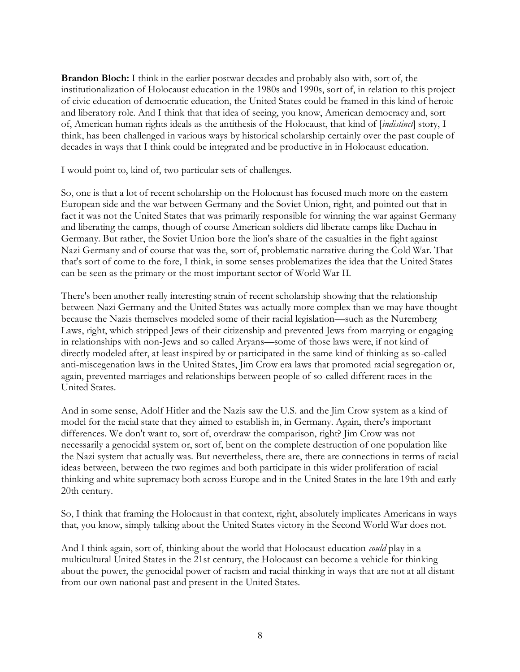**Brandon Bloch:** I think in the earlier postwar decades and probably also with, sort of, the institutionalization of Holocaust education in the 1980s and 1990s, sort of, in relation to this project of civic education of democratic education, the United States could be framed in this kind of heroic and liberatory role. And I think that that idea of seeing, you know, American democracy and, sort of, American human rights ideals as the antithesis of the Holocaust, that kind of [*indistinct*] story, I think, has been challenged in various ways by historical scholarship certainly over the past couple of decades in ways that I think could be integrated and be productive in in Holocaust education.

I would point to, kind of, two particular sets of challenges.

So, one is that a lot of recent scholarship on the Holocaust has focused much more on the eastern European side and the war between Germany and the Soviet Union, right, and pointed out that in fact it was not the United States that was primarily responsible for winning the war against Germany and liberating the camps, though of course American soldiers did liberate camps like Dachau in Germany. But rather, the Soviet Union bore the lion's share of the casualties in the fight against Nazi Germany and of course that was the, sort of, problematic narrative during the Cold War. That that's sort of come to the fore, I think, in some senses problematizes the idea that the United States can be seen as the primary or the most important sector of World War II.

There's been another really interesting strain of recent scholarship showing that the relationship between Nazi Germany and the United States was actually more complex than we may have thought because the Nazis themselves modeled some of their racial legislation—such as the Nuremberg Laws, right, which stripped Jews of their citizenship and prevented Jews from marrying or engaging in relationships with non-Jews and so called Aryans—some of those laws were, if not kind of directly modeled after, at least inspired by or participated in the same kind of thinking as so-called anti-miscegenation laws in the United States, Jim Crow era laws that promoted racial segregation or, again, prevented marriages and relationships between people of so-called different races in the United States.

And in some sense, Adolf Hitler and the Nazis saw the U.S. and the Jim Crow system as a kind of model for the racial state that they aimed to establish in, in Germany. Again, there's important differences. We don't want to, sort of, overdraw the comparison, right? Jim Crow was not necessarily a genocidal system or, sort of, bent on the complete destruction of one population like the Nazi system that actually was. But nevertheless, there are, there are connections in terms of racial ideas between, between the two regimes and both participate in this wider proliferation of racial thinking and white supremacy both across Europe and in the United States in the late 19th and early 20th century.

So, I think that framing the Holocaust in that context, right, absolutely implicates Americans in ways that, you know, simply talking about the United States victory in the Second World War does not.

And I think again, sort of, thinking about the world that Holocaust education *could* play in a multicultural United States in the 21st century, the Holocaust can become a vehicle for thinking about the power, the genocidal power of racism and racial thinking in ways that are not at all distant from our own national past and present in the United States.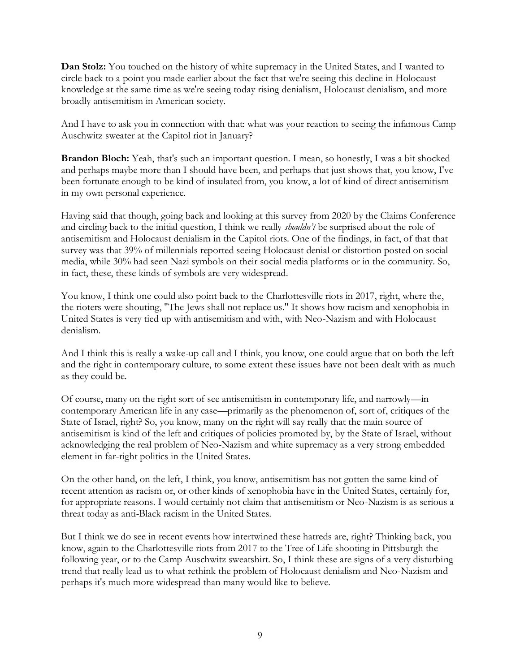**Dan Stolz:** You touched on the history of white supremacy in the United States, and I wanted to circle back to a point you made earlier about the fact that we're seeing this decline in Holocaust knowledge at the same time as we're seeing today rising denialism, Holocaust denialism, and more broadly antisemitism in American society.

And I have to ask you in connection with that: what was your reaction to seeing the infamous Camp Auschwitz sweater at the Capitol riot in January?

**Brandon Bloch:** Yeah, that's such an important question. I mean, so honestly, I was a bit shocked and perhaps maybe more than I should have been, and perhaps that just shows that, you know, I've been fortunate enough to be kind of insulated from, you know, a lot of kind of direct antisemitism in my own personal experience.

Having said that though, going back and looking at this survey from 2020 by the Claims Conference and circling back to the initial question, I think we really *shouldn't* be surprised about the role of antisemitism and Holocaust denialism in the Capitol riots. One of the findings, in fact, of that that survey was that 39% of millennials reported seeing Holocaust denial or distortion posted on social media, while 30% had seen Nazi symbols on their social media platforms or in the community. So, in fact, these, these kinds of symbols are very widespread.

You know, I think one could also point back to the Charlottesville riots in 2017, right, where the, the rioters were shouting, "The Jews shall not replace us." It shows how racism and xenophobia in United States is very tied up with antisemitism and with, with Neo-Nazism and with Holocaust denialism.

And I think this is really a wake-up call and I think, you know, one could argue that on both the left and the right in contemporary culture, to some extent these issues have not been dealt with as much as they could be.

Of course, many on the right sort of see antisemitism in contemporary life, and narrowly—in contemporary American life in any case—primarily as the phenomenon of, sort of, critiques of the State of Israel, right? So, you know, many on the right will say really that the main source of antisemitism is kind of the left and critiques of policies promoted by, by the State of Israel, without acknowledging the real problem of Neo-Nazism and white supremacy as a very strong embedded element in far-right politics in the United States.

On the other hand, on the left, I think, you know, antisemitism has not gotten the same kind of recent attention as racism or, or other kinds of xenophobia have in the United States, certainly for, for appropriate reasons. I would certainly not claim that antisemitism or Neo-Nazism is as serious a threat today as anti-Black racism in the United States.

But I think we do see in recent events how intertwined these hatreds are, right? Thinking back, you know, again to the Charlottesville riots from 2017 to the Tree of Life shooting in Pittsburgh the following year, or to the Camp Auschwitz sweatshirt. So, I think these are signs of a very disturbing trend that really lead us to what rethink the problem of Holocaust denialism and Neo-Nazism and perhaps it's much more widespread than many would like to believe.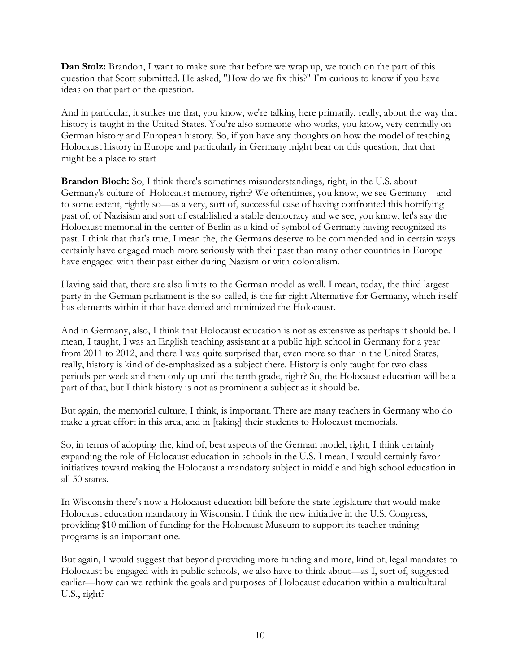**Dan Stolz:** Brandon, I want to make sure that before we wrap up, we touch on the part of this question that Scott submitted. He asked, "How do we fix this?" I'm curious to know if you have ideas on that part of the question.

And in particular, it strikes me that, you know, we're talking here primarily, really, about the way that history is taught in the United States. You're also someone who works, you know, very centrally on German history and European history. So, if you have any thoughts on how the model of teaching Holocaust history in Europe and particularly in Germany might bear on this question, that that might be a place to start

**Brandon Bloch:** So, I think there's sometimes misunderstandings, right, in the U.S. about Germany's culture of Holocaust memory, right? We oftentimes, you know, we see Germany—and to some extent, rightly so—as a very, sort of, successful case of having confronted this horrifying past of, of Nazisism and sort of established a stable democracy and we see, you know, let's say the Holocaust memorial in the center of Berlin as a kind of symbol of Germany having recognized its past. I think that that's true, I mean the, the Germans deserve to be commended and in certain ways certainly have engaged much more seriously with their past than many other countries in Europe have engaged with their past either during Nazism or with colonialism.

Having said that, there are also limits to the German model as well. I mean, today, the third largest party in the German parliament is the so-called, is the far-right Alternative for Germany, which itself has elements within it that have denied and minimized the Holocaust.

And in Germany, also, I think that Holocaust education is not as extensive as perhaps it should be. I mean, I taught, I was an English teaching assistant at a public high school in Germany for a year from 2011 to 2012, and there I was quite surprised that, even more so than in the United States, really, history is kind of de-emphasized as a subject there. History is only taught for two class periods per week and then only up until the tenth grade, right? So, the Holocaust education will be a part of that, but I think history is not as prominent a subject as it should be.

But again, the memorial culture, I think, is important. There are many teachers in Germany who do make a great effort in this area, and in [taking] their students to Holocaust memorials.

So, in terms of adopting the, kind of, best aspects of the German model, right, I think certainly expanding the role of Holocaust education in schools in the U.S. I mean, I would certainly favor initiatives toward making the Holocaust a mandatory subject in middle and high school education in all 50 states.

In Wisconsin there's now a Holocaust education bill before the state legislature that would make Holocaust education mandatory in Wisconsin. I think the new initiative in the U.S. Congress, providing \$10 million of funding for the Holocaust Museum to support its teacher training programs is an important one.

But again, I would suggest that beyond providing more funding and more, kind of, legal mandates to Holocaust be engaged with in public schools, we also have to think about—as I, sort of, suggested earlier—how can we rethink the goals and purposes of Holocaust education within a multicultural U.S., right?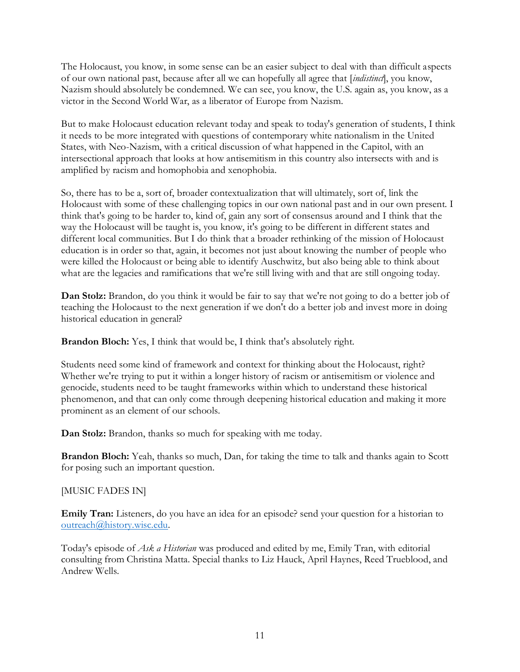The Holocaust, you know, in some sense can be an easier subject to deal with than difficult aspects of our own national past, because after all we can hopefully all agree that [*indistinct*], you know, Nazism should absolutely be condemned. We can see, you know, the U.S. again as, you know, as a victor in the Second World War, as a liberator of Europe from Nazism.

But to make Holocaust education relevant today and speak to today's generation of students, I think it needs to be more integrated with questions of contemporary white nationalism in the United States, with Neo-Nazism, with a critical discussion of what happened in the Capitol, with an intersectional approach that looks at how antisemitism in this country also intersects with and is amplified by racism and homophobia and xenophobia.

So, there has to be a, sort of, broader contextualization that will ultimately, sort of, link the Holocaust with some of these challenging topics in our own national past and in our own present. I think that's going to be harder to, kind of, gain any sort of consensus around and I think that the way the Holocaust will be taught is, you know, it's going to be different in different states and different local communities. But I do think that a broader rethinking of the mission of Holocaust education is in order so that, again, it becomes not just about knowing the number of people who were killed the Holocaust or being able to identify Auschwitz, but also being able to think about what are the legacies and ramifications that we're still living with and that are still ongoing today.

**Dan Stolz:** Brandon, do you think it would be fair to say that we're not going to do a better job of teaching the Holocaust to the next generation if we don't do a better job and invest more in doing historical education in general?

**Brandon Bloch:** Yes, I think that would be, I think that's absolutely right.

Students need some kind of framework and context for thinking about the Holocaust, right? Whether we're trying to put it within a longer history of racism or antisemitism or violence and genocide, students need to be taught frameworks within which to understand these historical phenomenon, and that can only come through deepening historical education and making it more prominent as an element of our schools.

**Dan Stolz:** Brandon, thanks so much for speaking with me today.

**Brandon Bloch:** Yeah, thanks so much, Dan, for taking the time to talk and thanks again to Scott for posing such an important question.

### [MUSIC FADES IN]

**Emily Tran:** Listeners, do you have an idea for an episode? send your question for a historian to [outreach@history.wisc.edu.](mailto:outreach@history.wisc.edu)

Today's episode of *Ask a Historian* was produced and edited by me, Emily Tran, with editorial consulting from Christina Matta. Special thanks to Liz Hauck, April Haynes, Reed Trueblood, and Andrew Wells.